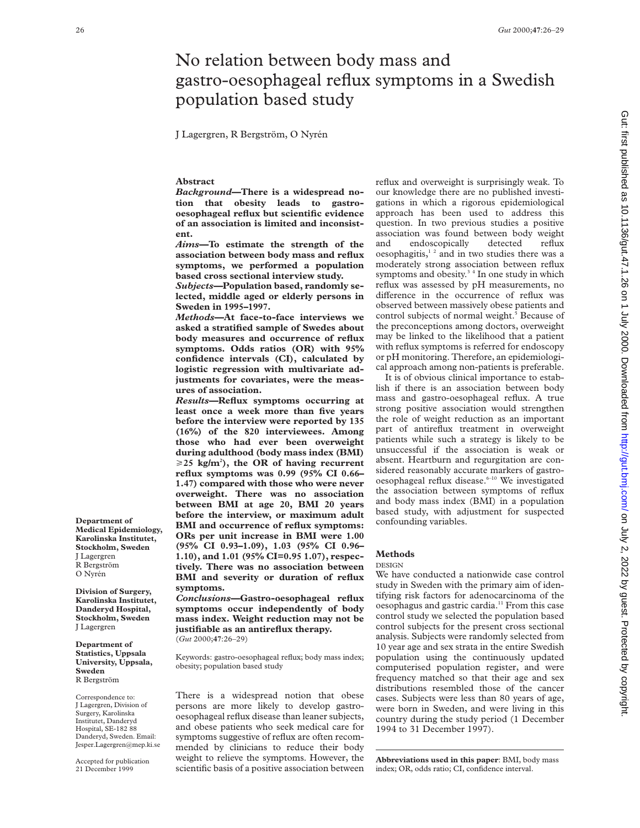# No relation between body mass and gastro-oesophageal reflux symptoms in a Swedish population based study

J Lagergren, R Bergström, O Nyrén

## **Abstract**

*Background—***There is a widespread notion that obesity leads to gastrooesophageal reflux but scientific evidence of an association is limited and inconsistent.**

*Aims—***To estimate the strength of the association between body mass and reflux symptoms, we performed a population based cross sectional interview study.**

*Subjects—***Population based, randomly selected, middle aged or elderly persons in Sweden in 1995–1997.**

*Methods—***At face-to-face interviews we asked a stratified sample of Swedes about body measures and occurrence of reflux symptoms. Odds ratios (OR) with 95% confidence intervals (CI), calculated by logistic regression with multivariate adjustments for covariates, were the measures of association.**

*Results—***Reflux symptoms occurring at least once a week more than five years before the interview were reported by 135 (16%) of the 820 interviewees. Among those who had ever been overweight during adulthood (body mass index (BMI)**  $\geq$ 25 kg/m<sup>2</sup>), the OR of having recurrent **reflux symptoms was 0.99 (95% CI 0.66– 1.47) compared with those who were never overweight. There was no association between BMI at age 20, BMI 20 years before the interview, or maximum adult BMI and occurrence of reflux symptoms: ORs per unit increase in BMI were 1.00 (95% CI 0.93–1.09), 1.03 (95% CI 0.96– 1.10), and 1.01 (95% CI=0.95 1.07), respectively. There was no association between BMI and severity or duration of reflux symptoms.**

*Conclusions—***Gastro-oesophageal reflux symptoms occur independently of body mass index. Weight reduction may not be justifiable as an antireflux therapy.** (*Gut* 2000;**47**:26–29)

Keywords: gastro-oesophageal reflux; body mass index; obesity; population based study

There is a widespread notion that obese persons are more likely to develop gastrooesophageal reflux disease than leaner subjects, and obese patients who seek medical care for symptoms suggestive of reflux are often recommended by clinicians to reduce their body weight to relieve the symptoms. However, the scientific basis of a positive association between reflux and overweight is surprisingly weak. To our knowledge there are no published investigations in which a rigorous epidemiological approach has been used to address this question. In two previous studies a positive association was found between body weight and endoscopically detected reflux oesophagitis,<sup>12</sup> and in two studies there was a moderately strong association between reflux symptoms and obesity.<sup>34</sup> In one study in which reflux was assessed by pH measurements, no difference in the occurrence of reflux was observed between massively obese patients and control subjects of normal weight.<sup>5</sup> Because of the preconceptions among doctors, overweight may be linked to the likelihood that a patient with reflux symptoms is referred for endoscopy or pH monitoring. Therefore, an epidemiological approach among non-patients is preferable.

It is of obvious clinical importance to establish if there is an association between body mass and gastro-oesophageal reflux. A true strong positive association would strengthen the role of weight reduction as an important part of antireflux treatment in overweight patients while such a strategy is likely to be unsuccessful if the association is weak or absent. Heartburn and regurgitation are considered reasonably accurate markers of gastrooesophageal reflux disease.<sup>6-10</sup> We investigated the association between symptoms of reflux and body mass index (BMI) in a population based study, with adjustment for suspected confounding variables.

## **Methods**

## DESIGN

We have conducted a nationwide case control study in Sweden with the primary aim of identifying risk factors for adenocarcinoma of the oesophagus and gastric cardia.<sup>11</sup> From this case control study we selected the population based control subjects for the present cross sectional analysis. Subjects were randomly selected from 10 year age and sex strata in the entire Swedish population using the continuously updated computerised population register, and were frequency matched so that their age and sex distributions resembled those of the cancer cases. Subjects were less than 80 years of age, were born in Sweden, and were living in this country during the study period (1 December 1994 to 31 December 1997).

**Abbreviations used in this paper**: BMI, body mass index; OR, odds ratio; CI, confidence interval.

**Department of Medical Epidemiology, Karolinska Institutet, Stockholm, Sweden** J Lagergren R Bergström O Nyrén

**Division of Surgery, Karolinska Institutet, Danderyd Hospital, Stockholm, Sweden** J Lagergren

**Department of Statistics, Uppsala University, Uppsala, Sweden** R Bergström

Correspondence to: J Lagergren, Division of Surgery, Karolinska Institutet, Danderyd Hospital, SE-182 88 Danderyd, Sweden. Email: Jesper.Lagergren@mep.ki.se

Accepted for publication 21 December 1999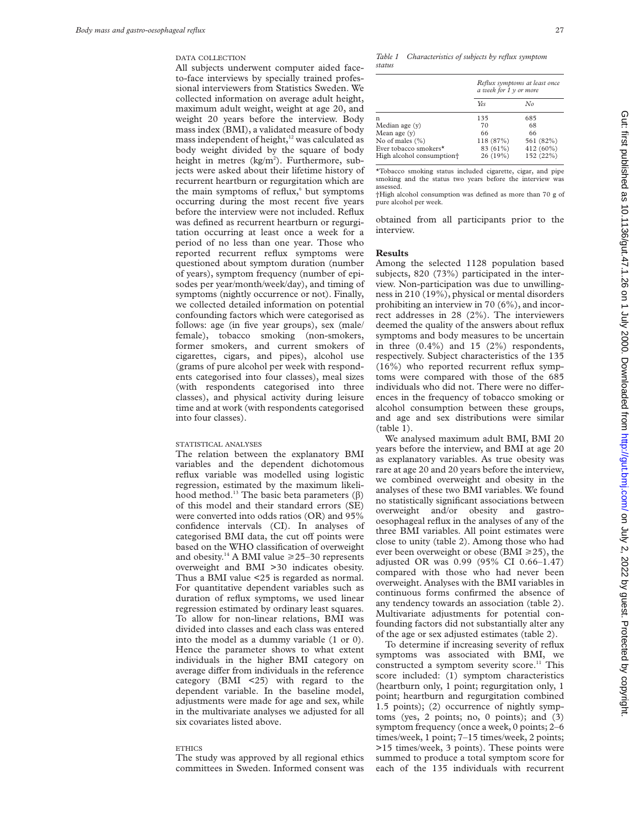## DATA COLLECTION

All subjects underwent computer aided faceto-face interviews by specially trained professional interviewers from Statistics Sweden. We collected information on average adult height, maximum adult weight, weight at age 20, and weight 20 years before the interview. Body mass index (BMI), a validated measure of body mass independent of height, $12$  was calculated as body weight divided by the square of body height in metres (kg/m<sup>2</sup>). Furthermore, subjects were asked about their lifetime history of recurrent heartburn or regurgitation which are the main symptoms of reflux, $6$  but symptoms occurring during the most recent five years before the interview were not included. Reflux was defined as recurrent heartburn or regurgitation occurring at least once a week for a period of no less than one year. Those who reported recurrent reflux symptoms were questioned about symptom duration (number of years), symptom frequency (number of episodes per year/month/week/day), and timing of symptoms (nightly occurrence or not). Finally, we collected detailed information on potential confounding factors which were categorised as follows: age (in five year groups), sex (male/ female), tobacco smoking (non-smokers, former smokers, and current smokers of cigarettes, cigars, and pipes), alcohol use (grams of pure alcohol per week with respondents categorised into four classes), meal sizes (with respondents categorised into three classes), and physical activity during leisure time and at work (with respondents categorised into four classes).

#### STATISTICAL ANALYSES

The relation between the explanatory BMI variables and the dependent dichotomous reflux variable was modelled using logistic regression, estimated by the maximum likelihood method.<sup>13</sup> The basic beta parameters  $(\beta)$ of this model and their standard errors (SE) were converted into odds ratios (OR) and 95% confidence intervals (CI). In analyses of categorised BMI data, the cut off points were based on the WHO classification of overweight and obesity.<sup>14</sup> A BMI value  $\geq 25-30$  represents overweight and BMI >30 indicates obesity. Thus a BMI value <25 is regarded as normal. For quantitative dependent variables such as duration of reflux symptoms, we used linear regression estimated by ordinary least squares. To allow for non-linear relations, BMI was divided into classes and each class was entered into the model as a dummy variable (1 or 0). Hence the parameter shows to what extent individuals in the higher BMI category on average differ from individuals in the reference category  $(BMI \leq 25)$  with regard to the dependent variable. In the baseline model, adjustments were made for age and sex, while in the multivariate analyses we adjusted for all six covariates listed above.

#### **ETHICS**

The study was approved by all regional ethics committees in Sweden. Informed consent was

*Table 1 Characteristics of subjects by reflux symptom status*

|                                                                | Reflux symptoms at least once<br>a week for $\overline{1}$ y or more |                        |  |  |
|----------------------------------------------------------------|----------------------------------------------------------------------|------------------------|--|--|
|                                                                | Yes                                                                  | No                     |  |  |
| n                                                              | 135                                                                  | 685                    |  |  |
| Median age (y)                                                 | 70                                                                   | 68                     |  |  |
| Mean age $(v)$                                                 | 66                                                                   | 66                     |  |  |
| No of males $(\% )$                                            | 118 (87%)                                                            | 561 (82%)              |  |  |
| Ever tobacco smokers*<br>High alcohol consumption <sup>+</sup> | 83 (61%)<br>26 (19%)                                                 | 412 (60%)<br>152 (22%) |  |  |

\*Tobacco smoking status included cigarette, cigar, and pipe smoking and the status two years before the interview was assessed.

†High alcohol consumption was defined as more than 70 g of pure alcohol per week.

obtained from all participants prior to the interview.

## **Results**

Among the selected 1128 population based subjects, 820 (73%) participated in the interview. Non-participation was due to unwillingness in 210 (19%), physical or mental disorders prohibiting an interview in 70 (6%), and incorrect addresses in 28 (2%). The interviewers deemed the quality of the answers about reflux symptoms and body measures to be uncertain in three  $(0.4\%)$  and 15  $(2\%)$  respondents, respectively. Subject characteristics of the 135 (16%) who reported recurrent reflux symptoms were compared with those of the 685 individuals who did not. There were no differences in the frequency of tobacco smoking or alcohol consumption between these groups, and age and sex distributions were similar (table 1).

We analysed maximum adult BMI, BMI 20 years before the interview, and BMI at age 20 as explanatory variables. As true obesity was rare at age 20 and 20 years before the interview, we combined overweight and obesity in the analyses of these two BMI variables. We found no statistically significant associations between overweight and/or obesity and gastrooesophageal reflux in the analyses of any of the three BMI variables. All point estimates were close to unity (table 2). Among those who had ever been overweight or obese (BMI  $\geq$  25), the adjusted OR was 0.99 (95% CI 0.66–1.47) compared with those who had never been overweight. Analyses with the BMI variables in continuous forms confirmed the absence of any tendency towards an association (table 2). Multivariate adjustments for potential confounding factors did not substantially alter any of the age or sex adjusted estimates (table 2).

To determine if increasing severity of reflux symptoms was associated with BMI, we constructed a symptom severity score.<sup>11</sup> This score included: (1) symptom characteristics (heartburn only, 1 point; regurgitation only, 1 point; heartburn and regurgitation combined 1.5 points); (2) occurrence of nightly symptoms (yes, 2 points; no, 0 points); and (3) symptom frequency (once a week, 0 points; 2–6 times/week, 1 point; 7–15 times/week, 2 points; >15 times/week, 3 points). These points were summed to produce a total symptom score for each of the 135 individuals with recurrent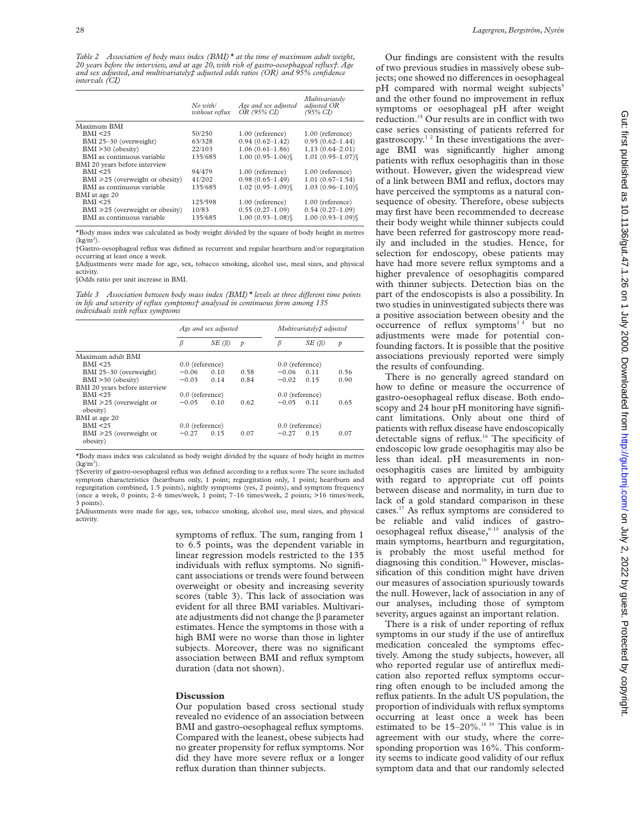*Table 2 Association of body mass index (BMI)\* at the time of maximum adult weight, 20 years before the interview, and at age 20, with risk of gastro-oesophageal reflux†. Age and sex adjusted, and multivariately‡ adjusted odds ratios (OR) and 95% confidence intervals (CI)*

|                                       | $No$ with<br>without reflux | Age and sex adjusted<br>OR (95% CI) | Multivariately<br>adjusted OR<br>$(95\% \text{ CI})$ |
|---------------------------------------|-----------------------------|-------------------------------------|------------------------------------------------------|
| Maximum BMI                           |                             |                                     |                                                      |
| BMI < 25                              | 50/250                      | 1.00 (reference)                    | 1.00 (reference)                                     |
| BMI 25-30 (overweight)                | 63/328                      | $0.94(0.62 - 1.42)$                 | $0.95(0.62 - 1.44)$                                  |
| BMI >30 (obesity)                     | 22/103                      | $1.06(0.61 - 1.86)$                 | $1.13(0.64 - 2.01)$                                  |
| BMI as continuous variable            | 135/685                     | $1.00(0.95 - 1.06)$                 | $1.01(0.95 - 1.07)$                                  |
| BMI 20 years before interview         |                             |                                     |                                                      |
| BMI < 25                              | 94/479                      | 1.00 (reference)                    | 1.00 (reference)                                     |
| $BMI \ge 25$ (overweight or obesity)  | 41/202                      | $0.98(0.65-1.49)$                   | $1.01(0.67-1.54)$                                    |
| BMI as continuous variable            | 135/685                     | $1.02(0.95 - 1.09)$                 | $1.03(0.96 - 1.10)$                                  |
| BMI at age 20                         |                             |                                     |                                                      |
| BMI < 25                              | 125/598                     | 1.00 (reference)                    | 1.00 (reference)                                     |
| BMI $\geq 25$ (overweight or obesity) | 10/83                       | $0.55(0.27-1.09)$                   | $0.54(0.27-1.09)$                                    |
| BMI as continuous variable            | 135/685                     | $1.00(0.93 - 1.08)$                 | $1.00(0.93 - 1.09)$                                  |

\*Body mass index was calculated as body weight divided by the square of body height in metres  $(kg/m<sup>2</sup>)$ .

†Gastro-oesophageal reflux was defined as recurrent and regular heartburn and/or regurgitation occurring at least once a week.

‡Adjustments were made for age, sex, tobacco smoking, alcohol use, meal sizes, and physical activity.

§Odds ratio per unit increase in BMI.

*Table 3* Association between body mass index (BMI)<sup>\*</sup> levels at three different time points *in life and severity of reflux symptoms† analysed in continuous form among 135 individuals with reflux symptoms*

|                                          | Age and sex adjusted |             |                   | Multivariately‡ adjusted |             |               |
|------------------------------------------|----------------------|-------------|-------------------|--------------------------|-------------|---------------|
|                                          | β                    | $SE(\beta)$ | $\mathcal{P}$     | β                        | $SE(\beta)$ | $\mathcal{P}$ |
| Maximum adult BMI                        |                      |             |                   |                          |             |               |
| BMI < 25                                 | $0.0$ (reference)    |             |                   | $0.0$ (reference)        |             |               |
| BMI 25-30 (overweight)                   | $-0.06$              | 0.10        | 0.58              | $-0.06$                  | 0.11        | 0.56          |
| $BMI > 30$ (obesity)                     | $-0.03$              | 0.14        | 0.84              | $-0.02$                  | 0.15        | 0.90          |
| BMI 20 years before interview            |                      |             |                   |                          |             |               |
| RMI < 25                                 | $0.0$ (reference)    |             | $0.0$ (reference) |                          |             |               |
| BMI $\geq 25$ (overweight or<br>obesity) | $-0.05$              | 0.10        | 0.62              | $-0.05$                  | 0.11        | 0.65          |
| BMI at age 20                            |                      |             |                   |                          |             |               |
| RMI < 25                                 | $0.0$ (reference)    |             | $0.0$ (reference) |                          |             |               |
| BMI $\geq 25$ (overweight or<br>obesity) | $-0.27$              | 0.15        | 0.07              | $-0.27$                  | 0.15        | 0.07          |

\*Body mass index was calculated as body weight divided by the square of body height in metres  $(kg/m<sup>2</sup>)$ .

†Severity of gastro-oesophageal reflux was defined according to a reflux score The score included symptom characteristics (heartburn only, 1 point; regurgitation only, 1 point; heartburn and regurgitation combined, 1.5 points), nightly symptoms (yes, 2 points), and symptom frequency (once a week, 0 points; 2–6 times/week, 1 point; 7–16 times/week, 2 points; >16 times/week, 3 points).

‡Adjustments were made for age, sex, tobacco smoking, alcohol use, meal sizes, and physical activity.

> symptoms of reflux. The sum, ranging from 1 to 6.5 points, was the dependent variable in linear regression models restricted to the 135 individuals with reflux symptoms. No significant associations or trends were found between overweight or obesity and increasing severity scores (table 3). This lack of association was evident for all three BMI variables. Multivariate adjustments did not change the  $\beta$  parameter estimates. Hence the symptoms in those with a high BMI were no worse than those in lighter subjects. Moreover, there was no significant association between BMI and reflux symptom duration (data not shown).

#### **Discussion**

Our population based cross sectional study revealed no evidence of an association between BMI and gastro-oesophageal reflux symptoms. Compared with the leanest, obese subjects had no greater propensity for reflux symptoms. Nor did they have more severe reflux or a longer reflux duration than thinner subjects.

Our findings are consistent with the results of two previous studies in massively obese subjects; one showed no differences in oesophageal pH compared with normal weight subjects<sup>5</sup> and the other found no improvement in reflux symptoms or oesophageal pH after weight reduction.15 Our results are in conflict with two case series consisting of patients referred for gastroscopy.<sup>12</sup> In these investigations the average BMI was significantly higher among patients with reflux oesophagitis than in those without. However, given the widespread view of a link between BMI and reflux, doctors may have perceived the symptoms as a natural consequence of obesity. Therefore, obese subjects may first have been recommended to decrease their body weight while thinner subjects could have been referred for gastroscopy more readily and included in the studies. Hence, for selection for endoscopy, obese patients may have had more severe reflux symptoms and a higher prevalence of oesophagitis compared with thinner subjects. Detection bias on the part of the endoscopists is also a possibility. In two studies in uninvestigated subjects there was a positive association between obesity and the occurrence of reflux symptoms<sup>34</sup> but no adjustments were made for potential confounding factors. It is possible that the positive associations previously reported were simply the results of confounding.

There is no generally agreed standard on how to define or measure the occurrence of gastro-oesophageal reflux disease. Both endoscopy and 24 hour pH monitoring have significant limitations. Only about one third of patients with reflux disease have endoscopically detectable signs of reflux.16 The specificity of endoscopic low grade oesophagitis may also be less than ideal. pH measurements in nonoesophagitis cases are limited by ambiguity with regard to appropriate cut off points between disease and normality, in turn due to lack of a gold standard comparison in these cases.17 As reflux symptoms are considered to be reliable and valid indices of gastrooesophageal reflux disease, $6-10$  analysis of the main symptoms, heartburn and regurgitation, is probably the most useful method for diagnosing this condition.<sup>16</sup> However, misclassification of this condition might have driven our measures of association spuriously towards the null. However, lack of association in any of our analyses, including those of symptom severity, argues against an important relation.

There is a risk of under reporting of reflux symptoms in our study if the use of antireflux medication concealed the symptoms effectively. Among the study subjects, however, all who reported regular use of antireflux medication also reported reflux symptoms occurring often enough to be included among the reflux patients. In the adult US population, the proportion of individuals with reflux symptoms occurring at least once a week has been estimated to be 15–20%.18 19 This value is in agreement with our study, where the corresponding proportion was 16%. This conformity seems to indicate good validity of our reflux symptom data and that our randomly selected